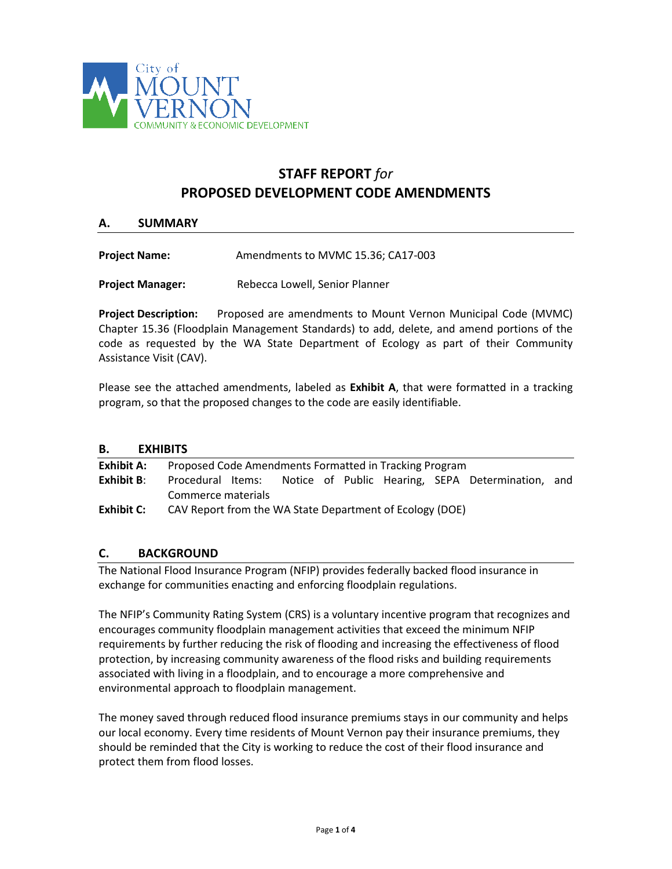

# **STAFF REPORT** *for* **PROPOSED DEVELOPMENT CODE AMENDMENTS**

## **A. SUMMARY**

| <b>Project Name:</b> | Amendments to MVMC 15.36; CA17-003 |
|----------------------|------------------------------------|
|----------------------|------------------------------------|

**Project Manager:** Rebecca Lowell, Senior Planner

**Project Description:** Proposed are amendments to Mount Vernon Municipal Code (MVMC) Chapter 15.36 (Floodplain Management Standards) to add, delete, and amend portions of the code as requested by the WA State Department of Ecology as part of their Community Assistance Visit (CAV).

Please see the attached amendments, labeled as **Exhibit A**, that were formatted in a tracking program, so that the proposed changes to the code are easily identifiable.

## **B. EXHIBITS**

| Exhibit A:    | Proposed Code Amendments Formatted in Tracking Program   |  |  |  |  |  |  |                                                   |  |  |
|---------------|----------------------------------------------------------|--|--|--|--|--|--|---------------------------------------------------|--|--|
| Exhibit $B$ : | Procedural Items:                                        |  |  |  |  |  |  | Notice of Public Hearing, SEPA Determination, and |  |  |
|               | Commerce materials                                       |  |  |  |  |  |  |                                                   |  |  |
| Exhibit C:    | CAV Report from the WA State Department of Ecology (DOE) |  |  |  |  |  |  |                                                   |  |  |

## **C. BACKGROUND**

The National Flood Insurance Program (NFIP) provides federally backed flood insurance in exchange for communities enacting and enforcing floodplain regulations.

The NFIP's Community Rating System (CRS) is a voluntary incentive program that recognizes and encourages community floodplain management activities that exceed the minimum NFIP requirements by further reducing the risk of flooding and increasing the effectiveness of flood protection, by increasing community awareness of the flood risks and building requirements associated with living in a floodplain, and to encourage a more comprehensive and environmental approach to floodplain management.

The money saved through reduced flood insurance premiums stays in our community and helps our local economy. Every time residents of Mount Vernon pay their insurance premiums, they should be reminded that the City is working to reduce the cost of their flood insurance and protect them from flood losses.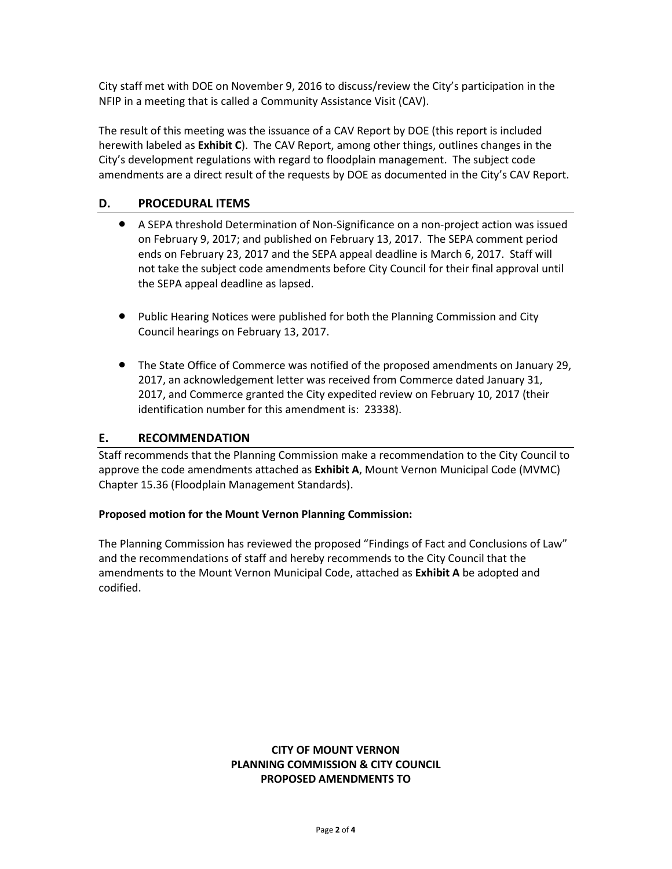City staff met with DOE on November 9, 2016 to discuss/review the City's participation in the NFIP in a meeting that is called a Community Assistance Visit (CAV).

The result of this meeting was the issuance of a CAV Report by DOE (this report is included herewith labeled as **Exhibit C**). The CAV Report, among other things, outlines changes in the City's development regulations with regard to floodplain management. The subject code amendments are a direct result of the requests by DOE as documented in the City's CAV Report.

# **D. PROCEDURAL ITEMS**

- A SEPA threshold Determination of Non-Significance on a non-project action was issued on February 9, 2017; and published on February 13, 2017. The SEPA comment period ends on February 23, 2017 and the SEPA appeal deadline is March 6, 2017. Staff will not take the subject code amendments before City Council for their final approval until the SEPA appeal deadline as lapsed.
- Public Hearing Notices were published for both the Planning Commission and City Council hearings on February 13, 2017.
- The State Office of Commerce was notified of the proposed amendments on January 29, 2017, an acknowledgement letter was received from Commerce dated January 31, 2017, and Commerce granted the City expedited review on February 10, 2017 (their identification number for this amendment is: 23338).

# **E. RECOMMENDATION**

Staff recommends that the Planning Commission make a recommendation to the City Council to approve the code amendments attached as **Exhibit A**, Mount Vernon Municipal Code (MVMC) Chapter 15.36 (Floodplain Management Standards).

## **Proposed motion for the Mount Vernon Planning Commission:**

The Planning Commission has reviewed the proposed "Findings of Fact and Conclusions of Law" and the recommendations of staff and hereby recommends to the City Council that the amendments to the Mount Vernon Municipal Code, attached as **Exhibit A** be adopted and codified.

# **CITY OF MOUNT VERNON PLANNING COMMISSION & CITY COUNCIL PROPOSED AMENDMENTS TO**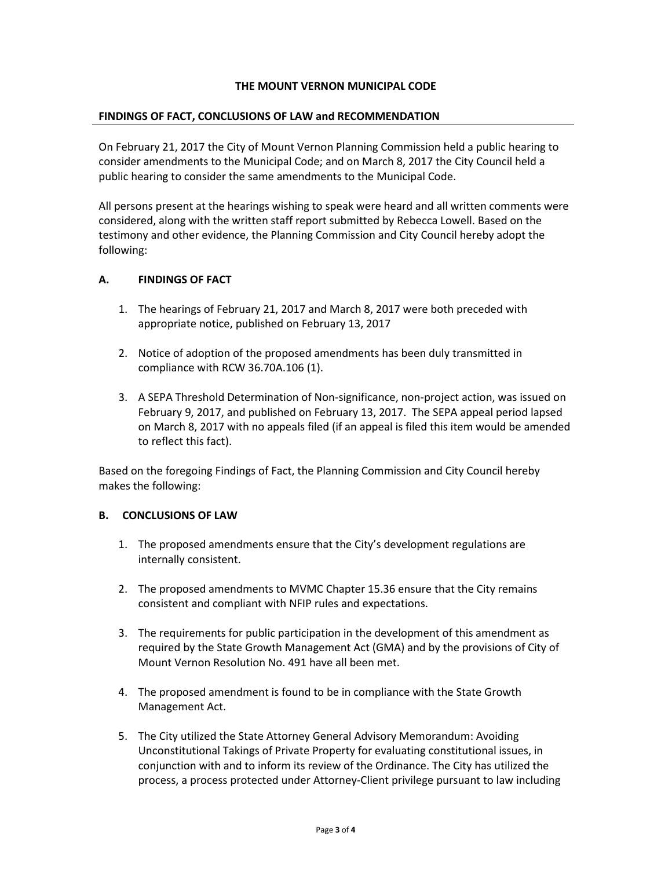## **THE MOUNT VERNON MUNICIPAL CODE**

#### **FINDINGS OF FACT, CONCLUSIONS OF LAW and RECOMMENDATION**

On February 21, 2017 the City of Mount Vernon Planning Commission held a public hearing to consider amendments to the Municipal Code; and on March 8, 2017 the City Council held a public hearing to consider the same amendments to the Municipal Code.

All persons present at the hearings wishing to speak were heard and all written comments were considered, along with the written staff report submitted by Rebecca Lowell. Based on the testimony and other evidence, the Planning Commission and City Council hereby adopt the following:

#### **A. FINDINGS OF FACT**

- 1. The hearings of February 21, 2017 and March 8, 2017 were both preceded with appropriate notice, published on February 13, 2017
- 2. Notice of adoption of the proposed amendments has been duly transmitted in compliance with RCW 36.70A.106 (1).
- 3. A SEPA Threshold Determination of Non-significance, non-project action, was issued on February 9, 2017, and published on February 13, 2017. The SEPA appeal period lapsed on March 8, 2017 with no appeals filed (if an appeal is filed this item would be amended to reflect this fact).

Based on the foregoing Findings of Fact, the Planning Commission and City Council hereby makes the following:

#### **B. CONCLUSIONS OF LAW**

- 1. The proposed amendments ensure that the City's development regulations are internally consistent.
- 2. The proposed amendments to MVMC Chapter 15.36 ensure that the City remains consistent and compliant with NFIP rules and expectations.
- 3. The requirements for public participation in the development of this amendment as required by the State Growth Management Act (GMA) and by the provisions of City of Mount Vernon Resolution No. 491 have all been met.
- 4. The proposed amendment is found to be in compliance with the State Growth Management Act.
- 5. The City utilized the State Attorney General Advisory Memorandum: Avoiding Unconstitutional Takings of Private Property for evaluating constitutional issues, in conjunction with and to inform its review of the Ordinance. The City has utilized the process, a process protected under Attorney-Client privilege pursuant to law including